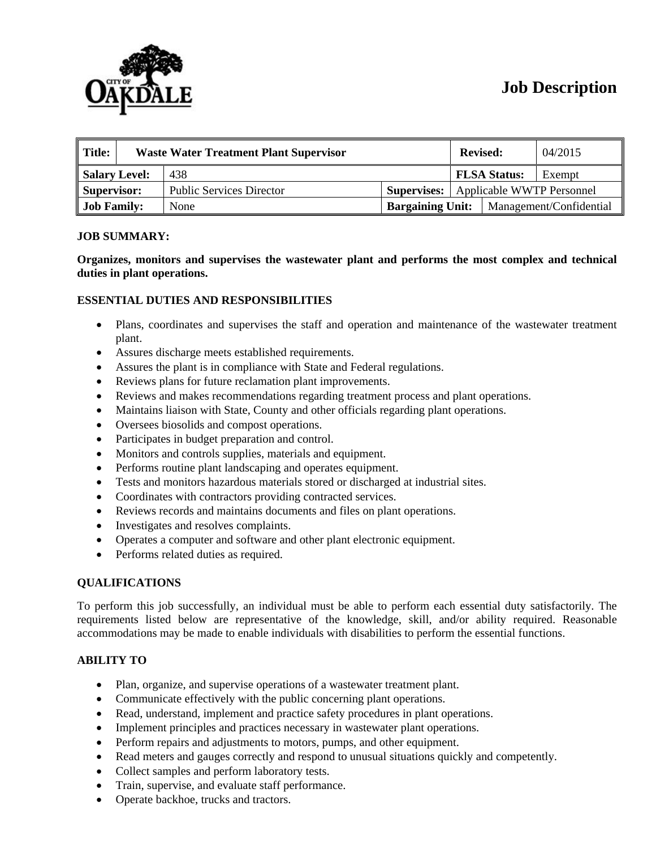# **Job Description**



| Title:             | <b>Waste Water Treatment Plant Supervisor</b> |                                 |                         | <b>Revised:</b>                              |                         | 04/2015 |
|--------------------|-----------------------------------------------|---------------------------------|-------------------------|----------------------------------------------|-------------------------|---------|
| Salary Level:      |                                               | 438                             |                         |                                              | <b>FLSA Status:</b>     | Exempt  |
| Supervisor:        |                                               | <b>Public Services Director</b> |                         | <b>Supervises:</b> Applicable WWTP Personnel |                         |         |
| <b>Job Family:</b> |                                               | None                            | <b>Bargaining Unit:</b> |                                              | Management/Confidential |         |

#### **JOB SUMMARY:**

**Organizes, monitors and supervises the wastewater plant and performs the most complex and technical duties in plant operations.** 

### **ESSENTIAL DUTIES AND RESPONSIBILITIES**

- Plans, coordinates and supervises the staff and operation and maintenance of the wastewater treatment plant.
- Assures discharge meets established requirements.
- Assures the plant is in compliance with State and Federal regulations.
- Reviews plans for future reclamation plant improvements.
- Reviews and makes recommendations regarding treatment process and plant operations.
- Maintains liaison with State, County and other officials regarding plant operations.
- Oversees biosolids and compost operations.
- Participates in budget preparation and control.
- Monitors and controls supplies, materials and equipment.
- Performs routine plant landscaping and operates equipment.
- Tests and monitors hazardous materials stored or discharged at industrial sites.
- Coordinates with contractors providing contracted services.
- Reviews records and maintains documents and files on plant operations.
- Investigates and resolves complaints.
- Operates a computer and software and other plant electronic equipment.
- Performs related duties as required.

### **QUALIFICATIONS**

To perform this job successfully, an individual must be able to perform each essential duty satisfactorily. The requirements listed below are representative of the knowledge, skill, and/or ability required. Reasonable accommodations may be made to enable individuals with disabilities to perform the essential functions.

### **ABILITY TO**

- Plan, organize, and supervise operations of a wastewater treatment plant.
- Communicate effectively with the public concerning plant operations.
- Read, understand, implement and practice safety procedures in plant operations.
- Implement principles and practices necessary in wastewater plant operations.
- Perform repairs and adjustments to motors, pumps, and other equipment.
- Read meters and gauges correctly and respond to unusual situations quickly and competently.
- Collect samples and perform laboratory tests.
- Train, supervise, and evaluate staff performance.
- Operate backhoe, trucks and tractors.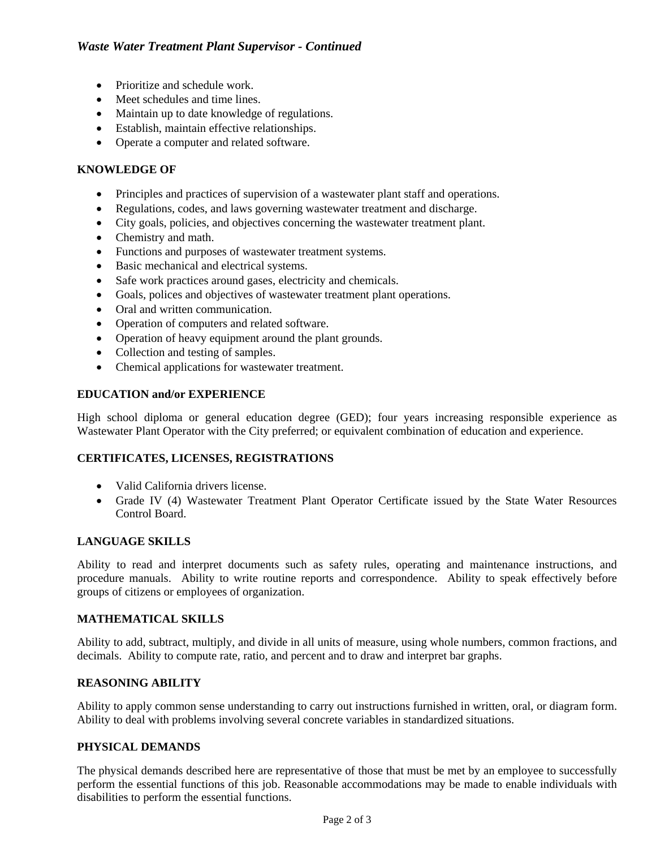# *Waste Water Treatment Plant Supervisor - Continued*

- Prioritize and schedule work.
- Meet schedules and time lines.
- Maintain up to date knowledge of regulations.
- Establish, maintain effective relationships.
- Operate a computer and related software.

## **KNOWLEDGE OF**

- Principles and practices of supervision of a wastewater plant staff and operations.
- Regulations, codes, and laws governing wastewater treatment and discharge.
- City goals, policies, and objectives concerning the wastewater treatment plant.
- Chemistry and math.
- Functions and purposes of wastewater treatment systems.
- Basic mechanical and electrical systems.
- Safe work practices around gases, electricity and chemicals.
- Goals, polices and objectives of wastewater treatment plant operations.
- Oral and written communication.
- Operation of computers and related software.
- Operation of heavy equipment around the plant grounds.
- Collection and testing of samples.
- Chemical applications for wastewater treatment.

### **EDUCATION and/or EXPERIENCE**

High school diploma or general education degree (GED); four years increasing responsible experience as Wastewater Plant Operator with the City preferred; or equivalent combination of education and experience.

## **CERTIFICATES, LICENSES, REGISTRATIONS**

- Valid California drivers license.
- Grade IV (4) Wastewater Treatment Plant Operator Certificate issued by the State Water Resources Control Board.

### **LANGUAGE SKILLS**

Ability to read and interpret documents such as safety rules, operating and maintenance instructions, and procedure manuals. Ability to write routine reports and correspondence. Ability to speak effectively before groups of citizens or employees of organization.

## **MATHEMATICAL SKILLS**

Ability to add, subtract, multiply, and divide in all units of measure, using whole numbers, common fractions, and decimals. Ability to compute rate, ratio, and percent and to draw and interpret bar graphs.

### **REASONING ABILITY**

Ability to apply common sense understanding to carry out instructions furnished in written, oral, or diagram form. Ability to deal with problems involving several concrete variables in standardized situations.

## **PHYSICAL DEMANDS**

The physical demands described here are representative of those that must be met by an employee to successfully perform the essential functions of this job. Reasonable accommodations may be made to enable individuals with disabilities to perform the essential functions.